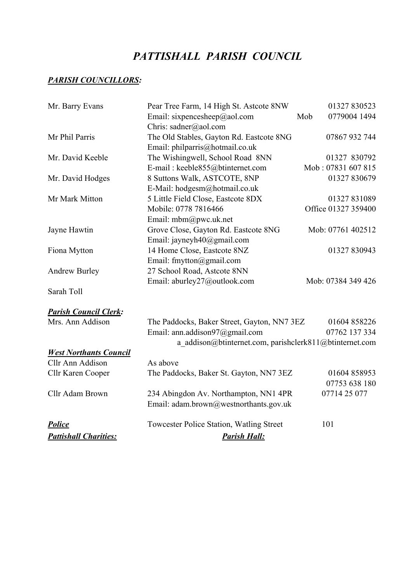# *PATTISHALL PARISH COUNCIL*

## *PARISH COUNCILLORS:*

| Mr. Barry Evans               | Pear Tree Farm, 14 High St. Astcote 8NW                 | 01327 830523        |
|-------------------------------|---------------------------------------------------------|---------------------|
|                               | Email: sixpencesheep@aol.com                            | Mob<br>0779004 1494 |
|                               | Chris: sadner@aol.com                                   |                     |
| Mr Phil Parris                | The Old Stables, Gayton Rd. Eastcote 8NG                | 07867 932 744       |
|                               | Email: philparris@hotmail.co.uk                         |                     |
| Mr. David Keeble              | The Wishingwell, School Road 8NN                        | 01327 830792        |
|                               | E-mail: keeble855@btinternet.com                        | Mob: 07831 607 815  |
| Mr. David Hodges              | 8 Suttons Walk, ASTCOTE, 8NP                            | 01327 830679        |
|                               | E-Mail: hodgesm@hotmail.co.uk                           |                     |
| Mr Mark Mitton                | 5 Little Field Close, Eastcote 8DX                      | 01327 831089        |
|                               | Mobile: 0778 7816466                                    | Office 01327 359400 |
|                               | Email: mbm@pwc.uk.net                                   |                     |
| Jayne Hawtin                  | Grove Close, Gayton Rd. Eastcote 8NG                    | Mob: 07761 402512   |
|                               | Email: jayneyh40@gmail.com                              |                     |
| Fiona Mytton                  | 14 Home Close, Eastcote 8NZ                             | 01327 830943        |
|                               | Email: fmytton@gmail.com                                |                     |
| <b>Andrew Burley</b>          | 27 School Road, Astcote 8NN                             |                     |
|                               | Email: aburley27@outlook.com                            | Mob: 07384 349 426  |
| Sarah Toll                    |                                                         |                     |
| <b>Parish Council Clerk:</b>  |                                                         |                     |
| Mrs. Ann Addison              | The Paddocks, Baker Street, Gayton, NN7 3EZ             | 01604 858226        |
|                               | Email: ann.addison97@gmail.com                          | 07762 137 334       |
|                               | a addison@btinternet.com, parishclerk811@btinternet.com |                     |
| <b>West Northants Council</b> |                                                         |                     |
| Cllr Ann Addison              | As above                                                |                     |
| Cllr Karen Cooper             | The Paddocks, Baker St. Gayton, NN7 3EZ                 | 01604 858953        |
|                               |                                                         | 07753 638 180       |
| Cllr Adam Brown               | 234 Abingdon Av. Northampton, NN1 4PR                   | 07714 25 077        |
|                               | Email: adam.brown@westnorthants.gov.uk                  |                     |
| <b>Police</b>                 | Towcester Police Station, Watling Street                | 101                 |
| <b>Pattishall Charities:</b>  | <b>Parish Hall:</b>                                     |                     |